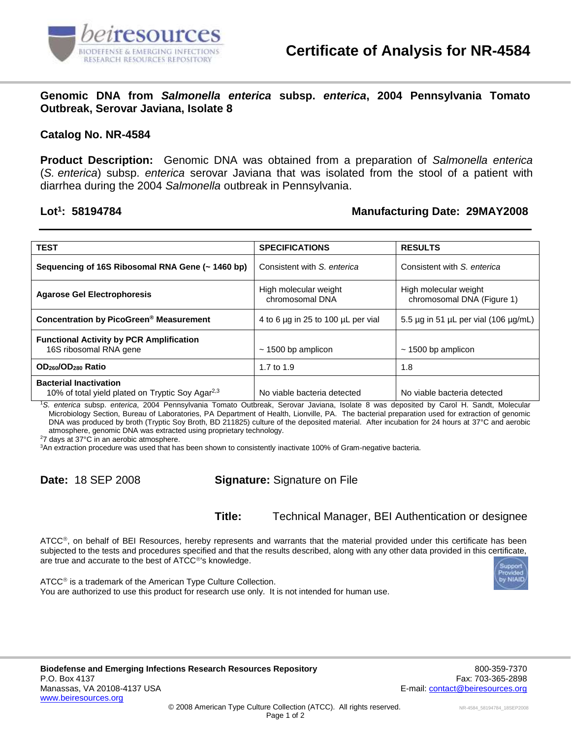

**Genomic DNA from** *Salmonella enterica* **subsp.** *enterica***, 2004 Pennsylvania Tomato Outbreak, Serovar Javiana, Isolate 8**

## **Catalog No. NR-4584**

**Product Description:** Genomic DNA was obtained from a preparation of *Salmonella enterica* (*S. enterica*) subsp. *enterica* serovar Javiana that was isolated from the stool of a patient with diarrhea during the 2004 *Salmonella* outbreak in Pennsylvania.

## Lot<sup>1</sup>: 58194784

## **: 58194784 Manufacturing Date: 29MAY2008**

| <b>TEST</b>                                                                                   | <b>SPECIFICATIONS</b>                    | <b>RESULTS</b>                                      |
|-----------------------------------------------------------------------------------------------|------------------------------------------|-----------------------------------------------------|
| Sequencing of 16S Ribosomal RNA Gene (~ 1460 bp)                                              | Consistent with S. enterica              | Consistent with S. enterica                         |
| <b>Agarose Gel Electrophoresis</b>                                                            | High molecular weight<br>chromosomal DNA | High molecular weight<br>chromosomal DNA (Figure 1) |
| Concentration by PicoGreen <sup>®</sup> Measurement                                           | 4 to 6 µg in 25 to 100 µL per vial       | 5.5 $\mu$ g in 51 $\mu$ L per vial (106 $\mu$ g/mL) |
| <b>Functional Activity by PCR Amplification</b><br>16S ribosomal RNA gene                     | $\sim$ 1500 bp amplicon                  | $\sim$ 1500 bp amplicon                             |
| OD <sub>260</sub> /OD <sub>280</sub> Ratio                                                    | 1.7 to 1.9                               | 1.8                                                 |
| <b>Bacterial Inactivation</b><br>10% of total yield plated on Tryptic Soy Agar <sup>2,3</sup> | No viable bacteria detected              | No viable bacteria detected                         |

<sup>1</sup>*S. enterica* subsp. *enterica*, 2004 Pennsylvania Tomato Outbreak, Serovar Javiana, Isolate 8 was deposited by Carol H. Sandt, Molecular Microbiology Section, Bureau of Laboratories, PA Department of Health, Lionville, PA. The bacterial preparation used for extraction of genomic DNA was produced by broth (Tryptic Soy Broth, BD 211825) culture of the deposited material. After incubation for 24 hours at 37°C and aerobic atmosphere, genomic DNA was extracted using proprietary technology.

<sup>2</sup>7 days at 37°C in an aerobic atmosphere.

<sup>3</sup>An extraction procedure was used that has been shown to consistently inactivate 100% of Gram-negative bacteria.

**Date:** 18 SEP 2008 **Signature:** Signature on File

**Title:** Technical Manager, BEI Authentication or designee

 $\tt ATCC<sup>®</sup>$ , on behalf of BEI Resources, hereby represents and warrants that the material provided under this certificate has been subjected to the tests and procedures specified and that the results described, along with any other data provided in this certificate, are true and accurate to the best of ATCC<sup>®'</sup>s knowledge.



 $ATCC<sup>®</sup>$  is a trademark of the American Type Culture Collection. You are authorized to use this product for research use only. It is not intended for human use.